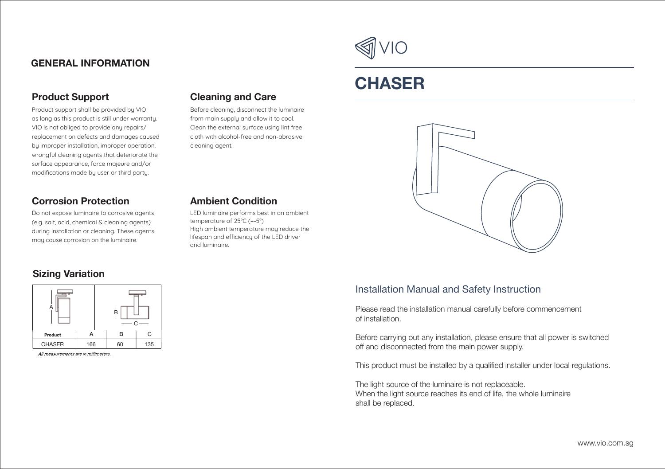# **GENERAL INFORMATION**

# **Product Support**

Product support shall be provided by VIO as long as this product is still under warranty. VIO is not obliged to provide any repairs/ replacement on defects and damages caused by improper installation, improper operation, wrongful cleaning agents that deteriorate the surface appearance, force majeure and/or modifications made by user or third party.

#### **Corrosion Protection**

Do not expose luminaire to corrosive agents (e.g. salt, acid, chemical & cleaning agents) during installation or cleaning. These agents may cause corrosion on the luminaire.

# **Sizing Variation**



All measurements are in millimeters.

# **Cleaning and Care**

Before cleaning, disconnect the luminaire from main supply and allow it to cool. Clean the external surface using lint free cloth with alcohol-free and non-abrasive cleaning agent.

# **Ambient Condition**

LED luminaire performs best in an ambient temperature of 25°C (+-5°) High ambient temperature may reduce the lifespan and efficiency of the LED driver and luminaire.



# **CHASER**



# Installation Manual and Safety Instruction

Please read the installation manual carefully before commencement of installation.

Before carrying out any installation, please ensure that all power is switched off and disconnected from the main power supply.

This product must be installed by a qualified installer under local regulations.

The light source of the luminaire is not replaceable. When the light source reaches its end of life, the whole luminaire shall be replaced.